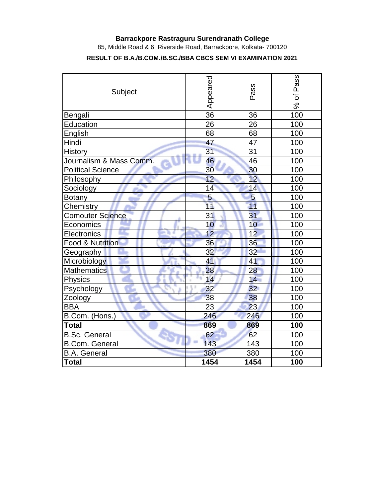## **Barrackpore Rastraguru Surendranath College**

85, Middle Road & 6, Riverside Road, Barrackpore, Kolkata- 700120

## **RESULT OF B.A./B.COM./B.SC./BBA CBCS SEM VI EXAMINATION 2021**

| Subject                  | Appeared | Pass            | Pass<br>đ<br>ಸಿ |  |  |  |  |
|--------------------------|----------|-----------------|-----------------|--|--|--|--|
| Bengali                  | 36       | 36              | 100             |  |  |  |  |
| Education                | 26       | 26              | 100             |  |  |  |  |
| English                  | 68       | 68              | 100             |  |  |  |  |
| Hindi                    | 47       | 47              | 100             |  |  |  |  |
| <b>History</b>           | 31       | 31              | 100             |  |  |  |  |
| Journalism & Mass Comm.  | 46       | 46              | 100             |  |  |  |  |
| <b>Political Science</b> | 30       | 30              | 100             |  |  |  |  |
| Philosophy               | 12       | 12              | 100             |  |  |  |  |
| Sociology                | 14       | 14              | 100             |  |  |  |  |
| <b>Botany</b>            | 5        | 5               | 100             |  |  |  |  |
| Chemistry                | 11       | 11              | 100             |  |  |  |  |
| <b>Comouter Science</b>  | 31       | 31              | 100             |  |  |  |  |
| Economics                | 10       | 10              | 100             |  |  |  |  |
| Electronics              | 12       | 12              | 100             |  |  |  |  |
| Food & Nutrition         | 36       | 36              | 100             |  |  |  |  |
| Geography                | 32       | 32              | 100             |  |  |  |  |
| Microbiology             | 41       | 41              | 100             |  |  |  |  |
| <b>Mathematics</b>       | 28       | 28              | 100             |  |  |  |  |
| <b>Physics</b>           | 14       | 14              | 100             |  |  |  |  |
| Psychology               | 32       | 32 <sub>2</sub> | 100             |  |  |  |  |
| Zoology                  | 38       | 38              | 100             |  |  |  |  |
| <b>BBA</b>               | 23       | 23              | 100             |  |  |  |  |
| B.Com. (Hons.)           | 246      | 246             | 100             |  |  |  |  |
| <b>Total</b>             | 869      | 869             | 100             |  |  |  |  |
| <b>B.Sc. General</b>     | 62       | 62              | 100             |  |  |  |  |
| <b>B.Com. General</b>    | 143      | 143             | 100             |  |  |  |  |
| <b>B.A.</b> General      | 380      | 380             | 100             |  |  |  |  |
| Total                    | 1454     | 1454            | 100             |  |  |  |  |